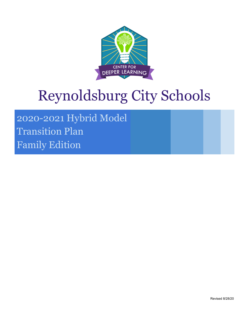

# Reynoldsburg City Schools

2020-2021 Hybrid Model Transition Plan Family Edition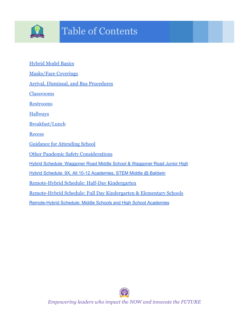

# Table of Contents

- [Hybrid Model Basics](#page-2-0)
- [Masks/Face Coverings](#page-2-1)
- [Arrival, Dismissal, and Bus Procedures](#page-2-2)
- **[Classrooms](#page-3-0)**
- [Restrooms](#page-3-1)
- **[Hallways](#page-3-2)**
- [Breakfast/Lunch](#page-3-3)
- [Recess](#page-3-4)
- [Guidance for Attending School](#page-4-0)
- [Other Pandemic Safety Considerations](#page-4-1)
- Hybrid Schedule: Waggoner Road Middle School & [Waggoner](#page-5-0) Road Junior High
- Hybrid Schedule: 9X, All 10-12 [Academies,](#page-5-1) STEM Middle @ Baldwin
- [Remote-Hybrid Schedule: Half-Day Kindergarten](#page-6-0)
- [Remote-Hybrid Schedule: Full Day Kindergarten & Elementary Schools](#page-7-0)
- [Remote-Hybrid](#page-7-1) Schedule: Middle Schools and High School Academies

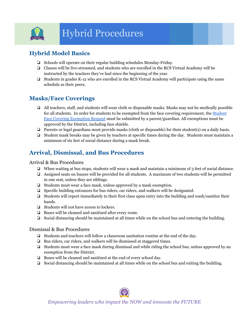

# Hybrid Procedures

# <span id="page-2-0"></span>**Hybrid Model Basics**

- ❏ Schools will operate on their regular building schedules Monday-Friday.
- ❏ Classes will be live-streamed, and students who are enrolled in the RCS Virtual Academy will be instructed by the teachers they've had since the beginning of the year.
- ❏ Students in grades K-12 who are enrolled in the RCS Virtual Academy will participate using the same schedule as their peers.

# <span id="page-2-1"></span>**Masks/Face Coverings**

- ❏ All teachers, staff, and students will wear cloth or disposable masks. Masks may not be medically possible for all students. In order for students to be exempted from the face covering requirement, the [Student](https://forms.gle/YXrTM7m4NUVRzmoX9) Face Covering [Exemption](https://forms.gle/YXrTM7m4NUVRzmoX9) Request must be submitted by a parent/guardian. All exemptions must be approved by the District, including face shields.
- ❏ Parents or legal guardians must provide masks (cloth or disposable) for their student(s) on a daily basis.
- ❏ Student mask breaks may be given by teachers at specific times during the day. Students must maintain a minimum of six feet of social distance during a mask break.

# <span id="page-2-2"></span>**Arrival, Dismissal, and Bus Procedures**

#### Arrival & Bus Procedures

- ❏ When waiting at bus stops, students will wear a mask and maintain a minimum of 3 feet of social distance.
- ❏ Assigned seats on busses will be provided for all students. A maximum of two students will be permitted in one seat, unless they are siblings.
- ❏ Students must wear a face mask, unless approved by a mask exemption.
- ❏ Specific building entrances for bus riders, car riders, and walkers will be designated.
- ❏ Students will report immediately to their first class upon entry into the building and wash/sanitize their hands.
- ❏ Students will not have access to lockers.
- ❏ Buses will be cleaned and sanitized after every route.
- ❏ Social distancing should be maintained at all times while on the school bus and entering the building.

#### Dismissal & Bus Procedures

- ❏ Students and teachers will follow a classroom sanitation routine at the end of the day.
- ❏ Bus riders, car riders, and walkers will be dismissed at staggered times.
- ❏ Students must wear a face mask during dismissal and while riding the school bus, unless approved by an exemption from the District.
- ❏ Buses will be cleaned and sanitized at the end of every school day.
- ❏ Social distancing should be maintained at all times while on the school bus and exiting the building.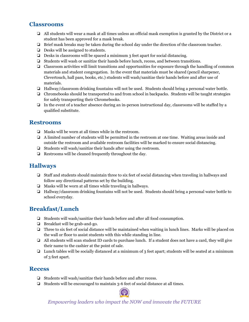#### <span id="page-3-0"></span>**Classrooms**

- ❏ All students will wear a mask at all times unless an official mask exemption is granted by the District or a student has been approved for a mask break.
- ❏ Brief mask breaks may be taken during the school day under the direction of the classroom teacher.
- ❏ Desks will be assigned to students.
- ❏ Desks in classrooms will be spaced a minimum 3 feet apart for social distancing.
- ❏ Students will wash or sanitize their hands before lunch, recess, and between transitions.
- ❏ Classroom activities will limit transitions and opportunities for exposure through the handling of common materials and student congregation. In the event that materials must be shared (pencil sharpener, Clevertouch, hall pass, books, etc.) students will wash/sanitize their hands before and after use of materials.
- ❏ Hallway/classroom drinking fountains will not be used. Students should bring a personal water bottle.
- ❏ Chromebooks should be transported to and from school in backpacks. Students will be taught strategies for safely transporting their Chromebooks.
- ❏ In the event of a teacher absence during an in-person instructional day, classrooms will be staffed by a qualified substitute.

#### <span id="page-3-1"></span>**Restrooms**

- ❏ Masks will be worn at all times while in the restroom.
- ❏ A limited number of students will be permitted in the restroom at one time. Waiting areas inside and outside the restroom and available restroom facilities will be marked to ensure social distancing.
- ❏ Students will wash/sanitize their hands after using the restroom.
- ❏ Restrooms will be cleaned frequently throughout the day.

#### <span id="page-3-2"></span>**Hallways**

- ❏ Staff and students should maintain three to six feet of social distancing when traveling in hallways and follow any directional patterns set by the building.
- ❏ Masks will be worn at all times while traveling in hallways.
- ❏ Hallway/classroom drinking fountains will not be used. Students should bring a personal water bottle to school everyday.

### <span id="page-3-3"></span>**Breakfast/Lunch**

- ❏ Students will wash/sanitize their hands before and after all food consumption.
- ❏ Breakfast will be grab-and-go.
- ❏ Three to six feet of social distance will be maintained when waiting in lunch lines. Marks will be placed on the wall or floor to assist students with this while standing in line.
- ❏ All students will scan student ID cards to purchase lunch. If a student does not have a card, they will give their name to the cashier at the point of sale.
- ❏ Lunch tables will be socially distanced at a minimum of 3 feet apart; students will be seated at a minimum of 3 feet apart.

#### <span id="page-3-4"></span>**Recess**

- ❏ Students will wash/sanitize their hands before and after recess.
- ❏ Students will be encouraged to maintain 3-6 feet of social distance at all times.

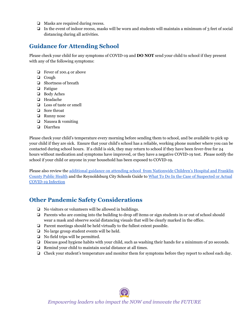- ❏ Masks are required during recess.
- ❏ In the event of indoor recess, masks will be worn and students will maintain a minimum of 3 feet of social distancing during all activities.

### <span id="page-4-0"></span>**Guidance for Attending School**

Please check your child for any symptoms of COVID-19 and **DO NOT** send your child to school if they present with any of the following symptoms:

- ❏ Fever of 100.4 or above
- ❏ Cough
- ❏ Shortness of breath
- ❏ Fatigue
- ❏ Body Aches
- ❏ Headache
- ❏ Loss of taste or smell
- ❏ Sore throat
- ❏ Runny nose
- ❏ Nausea & vomiting
- ❏ Diarrhea

Please check your child's temperature every morning before sending them to school, and be available to pick up your child if they are sick. Ensure that your child's school has a reliable, working phone number where you can be contacted during school hours. If a child is sick, they may return to school if they have been fever-free for 24 hours without medication and symptoms have improved, or they have a negative COVID-19 test. Please notify the school if your child or anyone in your household has been exposed to COVID-19.

Please also review the additional guidance on attending school from [Nationwide](https://drive.google.com/file/d/1i-tlGKbjcLzH1fCA3b52avr3BEHl0WJ3/view?usp=sharing) Children's Hospital and Franklin [County](https://drive.google.com/file/d/1i-tlGKbjcLzH1fCA3b52avr3BEHl0WJ3/view?usp=sharing) Public Health and the Reynoldsburg City Schools Guide to What To Do In the Case of [Suspected](https://drive.google.com/file/d/1pLsNd6BAvzGZF235qfFV9DMNJ8h-3o52/view?usp=sharing) or Actual [COVID-19](https://drive.google.com/file/d/1pLsNd6BAvzGZF235qfFV9DMNJ8h-3o52/view?usp=sharing) Infection

# <span id="page-4-1"></span>**Other Pandemic Safety Considerations**

- ❏ No visitors or volunteers will be allowed in buildings.
- ❏ Parents who are coming into the building to drop off items or sign students in or out of school should wear a mask and observe social distancing visuals that will be clearly marked in the office.
- ❏ Parent meetings should be held virtually to the fullest extent possible.
- ❏ No large group student events will be held.
- ❏ No field trips will be permitted.
- ❏ Discuss good hygiene habits with your child, such as washing their hands for a minimum of 20 seconds.
- ❏ Remind your child to maintain social distance at all times.
- ❏ Check your student's temperature and monitor them for symptoms before they report to school each day.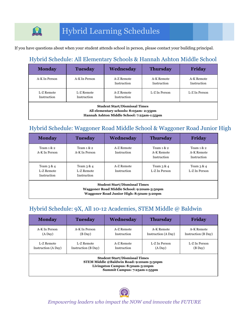# Hybrid Learning Schedules

If you have questions about when your student attends school in person, please contact your building principal.

# Hybrid Schedule: All Elementary Schools & Hannah Ashton Middle School

| <b>Monday</b>                                                                                                               | <b>Tuesday</b>                   | Wednesday                                  | <b>Thursday</b>           | Friday                    |
|-----------------------------------------------------------------------------------------------------------------------------|----------------------------------|--------------------------------------------|---------------------------|---------------------------|
| A-K In Person                                                                                                               | A-K In Person                    | A-Z Remote<br>Instruction                  | A-K Remote<br>Instruction | A-K Remote<br>Instruction |
| L-Z Remote<br>Instruction                                                                                                   | L-Z Remote<br><b>Instruction</b> | L-Z In Person<br>A-Z Remote<br>Instruction |                           | L-Z In Person             |
| <b>Student Start/Dismissal Times</b><br>All elementary schools: 8:05am-2:35pm<br>Hannah Ashton Middle School: 7:25am-1:55pm |                                  |                                            |                           |                           |

# <span id="page-5-0"></span>Hybrid Schedule: Waggoner Road Middle School & Waggoner Road Junior High

| <b>Monday</b>                                                                                                                  | <b>Tuesday</b>                            | Wednesday                 | <b>Thursday</b>                            | Friday                                     |
|--------------------------------------------------------------------------------------------------------------------------------|-------------------------------------------|---------------------------|--------------------------------------------|--------------------------------------------|
| Team $1 \& 2$<br>A-K In Person                                                                                                 | Team $1 \& 2$<br>A-K In Person            | A-Z Remote<br>Instruction | Team $1 \& 2$<br>A-K Remote<br>Instruction | Team $1 \& 2$<br>A-K Remote<br>Instruction |
| Team $3 & 4$<br>L-Z Remote<br>Instruction                                                                                      | Team $3 & 4$<br>L-Z Remote<br>Instruction | A-Z Remote<br>Instruction | Team $3 & 4$<br>L-Z In Person              | Team $3 & 4$<br>L-Z In Person              |
| <b>Student Start/Dismissal Times</b><br>Waggoner Road Middle School: 9:20am-3:50pm<br>Waggoner Road Junior High: 8:50am-3:20pm |                                           |                           |                                            |                                            |

# <span id="page-5-1"></span>Hybrid Schedule: 9X, All 10-12 Academies, STEM Middle @ Baldwin

| <b>Monday</b>                                                                                                                                        | <b>Tuesday</b>      | Wednesday   | <b>Thursday</b>     | <b>Friday</b>       |  |
|------------------------------------------------------------------------------------------------------------------------------------------------------|---------------------|-------------|---------------------|---------------------|--|
| A-K In Person                                                                                                                                        | A-K In Person       | A-Z Remote  | A-K Remote          | A-K Remote          |  |
| (A Day)                                                                                                                                              | (B Day)             | Instruction | Instruction (A Day) | Instruction (B Day) |  |
| L-Z Remote                                                                                                                                           | L-Z Remote          | A-Z Remote  | L-Z In Person       | L-Z In Person       |  |
| Instruction (A Day)                                                                                                                                  | Instruction (B Day) | Instruction | (A Day)             | (B Day)             |  |
| <b>Student Start/Dismissal Times</b><br>STEM Middle @Baldwin Road: 9:20am-3:50pm<br>Livingston Campus: 8:50am-3:20pm<br>Summit Campus: 7:25am-1:55pm |                     |             |                     |                     |  |

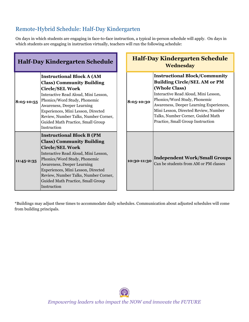# <span id="page-6-0"></span>Remote-Hybrid Schedule: Half-Day Kindergarten

On days in which students are engaging in face-to-face instruction, a typical in-person schedule will apply. On days in which students are engaging in instruction virtually, teachers will run the following schedule:

| <b>Half-Day Kindergarten Schedule</b> |                                                                                                                                                                                                                                                                                                                                        | <b>Half-Day Kindergarten Schedule</b><br><b>Wednesday</b> |                                                                                                                                                                                                                                                                                                                                   |
|---------------------------------------|----------------------------------------------------------------------------------------------------------------------------------------------------------------------------------------------------------------------------------------------------------------------------------------------------------------------------------------|-----------------------------------------------------------|-----------------------------------------------------------------------------------------------------------------------------------------------------------------------------------------------------------------------------------------------------------------------------------------------------------------------------------|
| 8:05-10:55                            | <b>Instructional Block A (AM</b><br><b>Class) Community Building</b><br><b>Circle/SEL Work</b><br>Interactive Read Aloud, Mini Lesson,<br>Phonics/Word Study, Phonemic<br>Awareness, Deeper Learning<br>Experiences, Mini Lesson, Directed<br>Review, Number Talks, Number Corner,<br>Guided Math Practice, Small Group<br>Instruction | 8:05-10:30                                                | <b>Instructional Block/Community</b><br><b>Building Circle/SEL AM or PM</b><br>(Whole Class)<br>Interactive Read Aloud, Mini Lesson,<br>Phonics/Word Study, Phonemic<br>Awareness, Deeper Learning Experiences,<br>Mini Lesson, Directed Review, Number<br>Talks, Number Corner, Guided Math<br>Practice, Small Group Instruction |
| 11:45-2:35                            | <b>Instructional Block B (PM</b><br><b>Class) Community Building</b><br><b>Circle/SEL Work</b><br>Interactive Read Aloud, Mini Lesson,<br>Phonics/Word Study, Phonemic<br>Awareness, Deeper Learning<br>Experiences, Mini Lesson, Directed<br>Review, Number Talks, Number Corner,<br>Guided Math Practice, Small Group<br>Instruction | 10:30-11:30                                               | <b>Independent Work/Small Groups</b><br>Can be students from AM or PM classes                                                                                                                                                                                                                                                     |

\*Buildings may adjust these times to accommodate daily schedules. Communication about adjusted schedules will come from building principals.